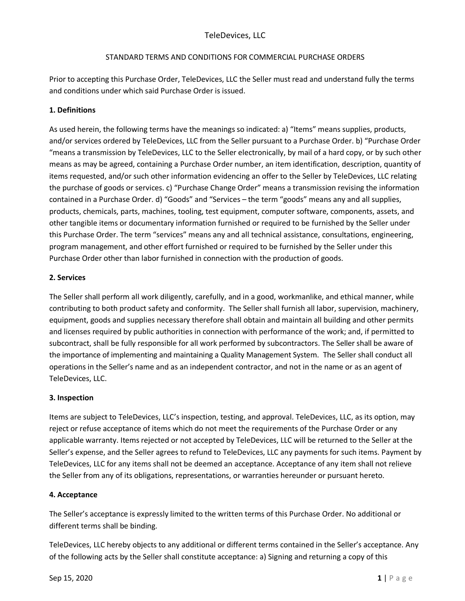Prior to accepting this Purchase Order, TeleDevices, LLC the Seller must read and understand fully the terms and conditions under which said Purchase Order is issued.

# **1. Definitions**

As used herein, the following terms have the meanings so indicated: a) "Items" means supplies, products, and/or services ordered by TeleDevices, LLC from the Seller pursuant to a Purchase Order. b) "Purchase Order "means a transmission by TeleDevices, LLC to the Seller electronically, by mail of a hard copy, or by such other means as may be agreed, containing a Purchase Order number, an item identification, description, quantity of items requested, and/or such other information evidencing an offer to the Seller by TeleDevices, LLC relating the purchase of goods or services. c) "Purchase Change Order" means a transmission revising the information contained in a Purchase Order. d) "Goods" and "Services – the term "goods" means any and all supplies, products, chemicals, parts, machines, tooling, test equipment, computer software, components, assets, and other tangible items or documentary information furnished or required to be furnished by the Seller under this Purchase Order. The term "services" means any and all technical assistance, consultations, engineering, program management, and other effort furnished or required to be furnished by the Seller under this Purchase Order other than labor furnished in connection with the production of goods.

# **2. Services**

The Seller shall perform all work diligently, carefully, and in a good, workmanlike, and ethical manner, while contributing to both product safety and conformity. The Seller shall furnish all labor, supervision, machinery, equipment, goods and supplies necessary therefore shall obtain and maintain all building and other permits and licenses required by public authorities in connection with performance of the work; and, if permitted to subcontract, shall be fully responsible for all work performed by subcontractors. The Seller shall be aware of the importance of implementing and maintaining a Quality Management System. The Seller shall conduct all operations in the Seller's name and as an independent contractor, and not in the name or as an agent of TeleDevices, LLC.

# **3. Inspection**

Items are subject to TeleDevices, LLC's inspection, testing, and approval. TeleDevices, LLC, as its option, may reject or refuse acceptance of items which do not meet the requirements of the Purchase Order or any applicable warranty. Items rejected or not accepted by TeleDevices, LLC will be returned to the Seller at the Seller's expense, and the Seller agrees to refund to TeleDevices, LLC any payments for such items. Payment by TeleDevices, LLC for any items shall not be deemed an acceptance. Acceptance of any item shall not relieve the Seller from any of its obligations, representations, or warranties hereunder or pursuant hereto.

# **4. Acceptance**

The Seller's acceptance is expressly limited to the written terms of this Purchase Order. No additional or different terms shall be binding.

TeleDevices, LLC hereby objects to any additional or different terms contained in the Seller's acceptance. Any of the following acts by the Seller shall constitute acceptance: a) Signing and returning a copy of this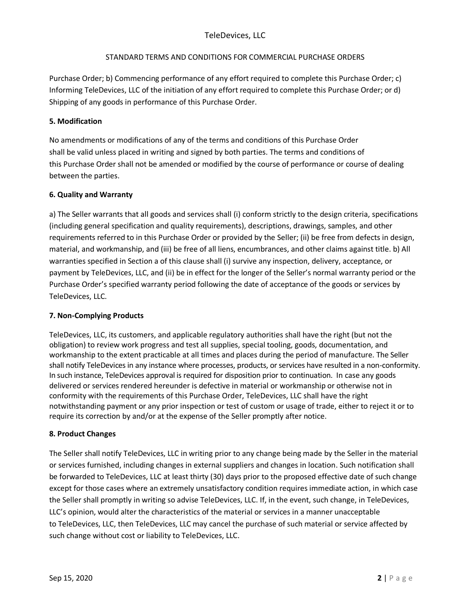# TeleDevices, LLC

## STANDARD TERMS AND CONDITIONS FOR COMMERCIAL PURCHASE ORDERS

Purchase Order; b) Commencing performance of any effort required to complete this Purchase Order; c) Informing TeleDevices, LLC of the initiation of any effort required to complete this Purchase Order; or d) Shipping of any goods in performance of this Purchase Order.

## **5. Modification**

No amendments or modifications of any of the terms and conditions of this Purchase Order shall be valid unless placed in writing and signed by both parties. The terms and conditions of this Purchase Order shall not be amended or modified by the course of performance or course of dealing between the parties.

### **6. Quality and Warranty**

a) The Seller warrants that all goods and services shall (i) conform strictly to the design criteria, specifications (including general specification and quality requirements), descriptions, drawings, samples, and other requirements referred to in this Purchase Order or provided by the Seller; (ii) be free from defects in design, material, and workmanship, and (iii) be free of all liens, encumbrances, and other claims against title. b) All warranties specified in Section a of this clause shall (i) survive any inspection, delivery, acceptance, or payment by TeleDevices, LLC, and (ii) be in effect for the longer of the Seller's normal warranty period or the Purchase Order's specified warranty period following the date of acceptance of the goods or services by TeleDevices, LLC.

# **7. Non-Complying Products**

TeleDevices, LLC, its customers, and applicable regulatory authorities shall have the right (but not the obligation) to review work progress and test all supplies, special tooling, goods, documentation, and workmanship to the extent practicable at all times and places during the period of manufacture. The Seller shall notify TeleDevices in any instance where processes, products, or services have resulted in a non-conformity. In such instance, TeleDevices approval is required for disposition prior to continuation. In case any goods delivered or services rendered hereunder is defective in material or workmanship or otherwise not in conformity with the requirements of this Purchase Order, TeleDevices, LLC shall have the right notwithstanding payment or any prior inspection or test of custom or usage of trade, either to reject it or to require its correction by and/or at the expense of the Seller promptly after notice.

#### **8. Product Changes**

The Seller shall notify TeleDevices, LLC in writing prior to any change being made by the Seller in the material or services furnished, including changes in external suppliers and changes in location. Such notification shall be forwarded to TeleDevices, LLC at least thirty (30) days prior to the proposed effective date of such change except for those cases where an extremely unsatisfactory condition requires immediate action, in which case the Seller shall promptly in writing so advise TeleDevices, LLC. If, in the event, such change, in TeleDevices, LLC's opinion, would alter the characteristics of the material or services in a manner unacceptable to TeleDevices, LLC, then TeleDevices, LLC may cancel the purchase of such material or service affected by such change without cost or liability to TeleDevices, LLC.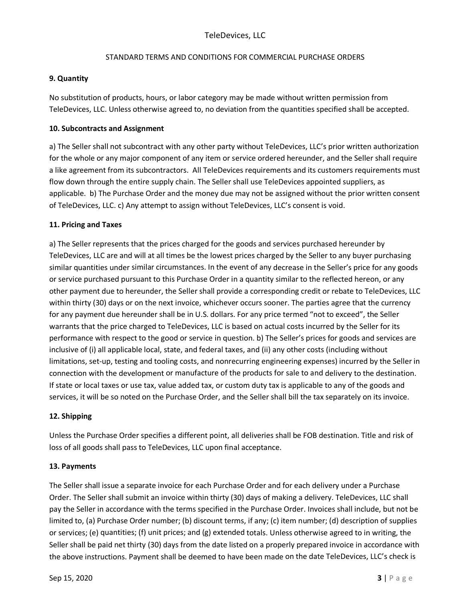### **9. Quantity**

No substitution of products, hours, or labor category may be made without written permission from TeleDevices, LLC. Unless otherwise agreed to, no deviation from the quantities specified shall be accepted.

### **10. Subcontracts and Assignment**

a) The Seller shall not subcontract with any other party without TeleDevices, LLC's prior written authorization for the whole or any major component of any item or service ordered hereunder, and the Seller shall require a like agreement from its subcontractors. All TeleDevices requirements and its customers requirements must flow down through the entire supply chain. The Seller shall use TeleDevices appointed suppliers, as applicable. b) The Purchase Order and the money due may not be assigned without the prior written consent of TeleDevices, LLC. c) Any attempt to assign without TeleDevices, LLC's consent is void.

### **11. Pricing and Taxes**

a) The Seller represents that the prices charged for the goods and services purchased hereunder by TeleDevices, LLC are and will at all times be the lowest prices charged by the Seller to any buyer purchasing similar quantities under similar circumstances. In the event of any decrease in the Seller's price for any goods or service purchased pursuant to this Purchase Order in a quantity similar to the reflected hereon, or any other payment due to hereunder, the Seller shall provide a corresponding credit or rebate to TeleDevices, LLC within thirty (30) days or on the next invoice, whichever occurs sooner. The parties agree that the currency for any payment due hereunder shall be in U.S. dollars. For any price termed "not to exceed", the Seller warrants that the price charged to TeleDevices, LLC is based on actual costs incurred by the Seller for its performance with respect to the good or service in question. b) The Seller's prices for goods and services are inclusive of (i) all applicable local, state, and federal taxes, and (ii) any other costs (including without limitations, set-up, testing and tooling costs, and nonrecurring engineering expenses) incurred by the Seller in connection with the development or manufacture of the products for sale to and delivery to the destination. If state or local taxes or use tax, value added tax, or custom duty tax is applicable to any of the goods and services, it will be so noted on the Purchase Order, and the Seller shall bill the tax separately on its invoice.

#### **12. Shipping**

Unless the Purchase Order specifies a different point, all deliveries shall be FOB destination. Title and risk of loss of all goods shall pass to TeleDevices, LLC upon final acceptance.

#### **13. Payments**

The Seller shall issue a separate invoice for each Purchase Order and for each delivery under a Purchase Order. The Seller shall submit an invoice within thirty (30) days of making a delivery. TeleDevices, LLC shall pay the Seller in accordance with the terms specified in the Purchase Order. Invoices shall include, but not be limited to, (a) Purchase Order number; (b) discount terms, if any; (c) item number; (d) description of supplies or services; (e) quantities; (f) unit prices; and (g) extended totals. Unless otherwise agreed to in writing, the Seller shall be paid net thirty (30) days from the date listed on a properly prepared invoice in accordance with the above instructions. Payment shall be deemed to have been made on the date TeleDevices, LLC's check is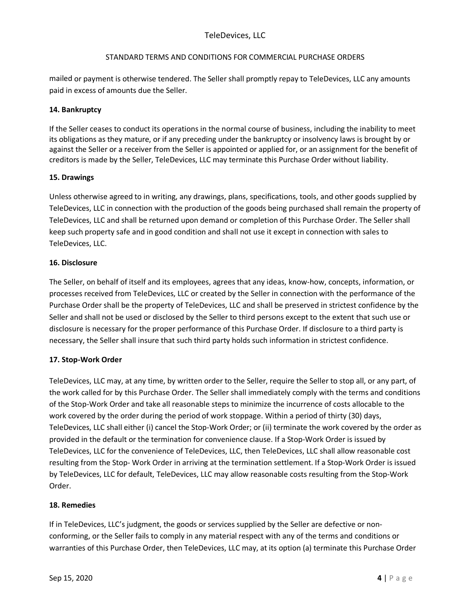# TeleDevices, LLC

### STANDARD TERMS AND CONDITIONS FOR COMMERCIAL PURCHASE ORDERS

mailed or payment is otherwise tendered. The Seller shall promptly repay to TeleDevices, LLC any amounts paid in excess of amounts due the Seller.

## **14. Bankruptcy**

If the Seller ceases to conduct its operations in the normal course of business, including the inability to meet its obligations as they mature, or if any preceding under the bankruptcy or insolvency laws is brought by or against the Seller or a receiver from the Seller is appointed or applied for, or an assignment for the benefit of creditors is made by the Seller, TeleDevices, LLC may terminate this Purchase Order without liability.

### **15. Drawings**

Unless otherwise agreed to in writing, any drawings, plans, specifications, tools, and other goods supplied by TeleDevices, LLC in connection with the production of the goods being purchased shall remain the property of TeleDevices, LLC and shall be returned upon demand or completion of this Purchase Order. The Seller shall keep such property safe and in good condition and shall not use it except in connection with sales to TeleDevices, LLC.

### **16. Disclosure**

The Seller, on behalf of itself and its employees, agrees that any ideas, know-how, concepts, information, or processes received from TeleDevices, LLC or created by the Seller in connection with the performance of the Purchase Order shall be the property of TeleDevices, LLC and shall be preserved in strictest confidence by the Seller and shall not be used or disclosed by the Seller to third persons except to the extent that such use or disclosure is necessary for the proper performance of this Purchase Order. If disclosure to a third party is necessary, the Seller shall insure that such third party holds such information in strictest confidence.

# **17. Stop-Work Order**

TeleDevices, LLC may, at any time, by written order to the Seller, require the Seller to stop all, or any part, of the work called for by this Purchase Order. The Seller shall immediately comply with the terms and conditions of the Stop-Work Order and take all reasonable steps to minimize the incurrence of costs allocable to the work covered by the order during the period of work stoppage. Within a period of thirty (30) days, TeleDevices, LLC shall either (i) cancel the Stop-Work Order; or (ii) terminate the work covered by the order as provided in the default or the termination for convenience clause. If a Stop-Work Order is issued by TeleDevices, LLC for the convenience of TeleDevices, LLC, then TeleDevices, LLC shall allow reasonable cost resulting from the Stop- Work Order in arriving at the termination settlement. If a Stop-Work Order is issued by TeleDevices, LLC for default, TeleDevices, LLC may allow reasonable costs resulting from the Stop-Work Order.

#### **18. Remedies**

If in TeleDevices, LLC's judgment, the goods or services supplied by the Seller are defective or nonconforming, or the Seller fails to comply in any material respect with any of the terms and conditions or warranties of this Purchase Order, then TeleDevices, LLC may, at its option (a) terminate this Purchase Order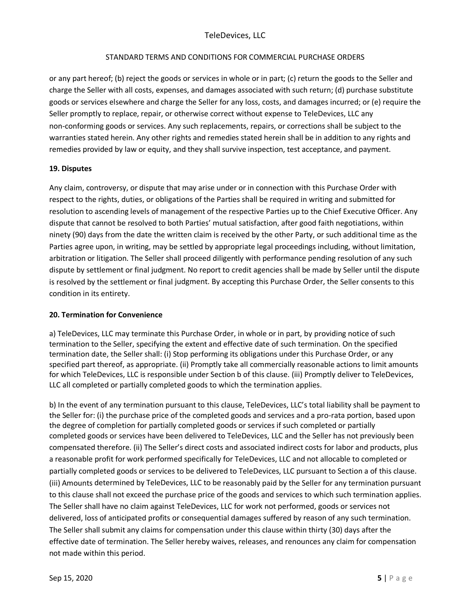or any part hereof; (b) reject the goods or services in whole or in part; (c) return the goods to the Seller and charge the Seller with all costs, expenses, and damages associated with such return; (d) purchase substitute goods or services elsewhere and charge the Seller for any loss, costs, and damages incurred; or (e) require the Seller promptly to replace, repair, or otherwise correct without expense to TeleDevices, LLC any non-conforming goods or services. Any such replacements, repairs, or corrections shall be subject to the warranties stated herein. Any other rights and remedies stated herein shall be in addition to any rights and remedies provided by law or equity, and they shall survive inspection, test acceptance, and payment.

### **19. Disputes**

Any claim, controversy, or dispute that may arise under or in connection with this Purchase Order with respect to the rights, duties, or obligations of the Parties shall be required in writing and submitted for resolution to ascending levels of management of the respective Parties up to the Chief Executive Officer. Any dispute that cannot be resolved to both Parties' mutual satisfaction, after good faith negotiations, within ninety (90) days from the date the written claim is received by the other Party, or such additional time as the Parties agree upon, in writing, may be settled by appropriate legal proceedings including, without limitation, arbitration or litigation. The Seller shall proceed diligently with performance pending resolution of any such dispute by settlement or final judgment. No report to credit agencies shall be made by Seller until the dispute is resolved by the settlement or final judgment. By accepting this Purchase Order, the Seller consents to this condition in its entirety.

# **20. Termination for Convenience**

a) TeleDevices, LLC may terminate this Purchase Order, in whole or in part, by providing notice of such termination to the Seller, specifying the extent and effective date of such termination. On the specified termination date, the Seller shall: (i) Stop performing its obligations under this Purchase Order, or any specified part thereof, as appropriate. (ii) Promptly take all commercially reasonable actions to limit amounts for which TeleDevices, LLC is responsible under Section b of this clause. (iii) Promptly deliver to TeleDevices, LLC all completed or partially completed goods to which the termination applies.

b) In the event of any termination pursuant to this clause, TeleDevices, LLC's total liability shall be payment to the Seller for: (i) the purchase price of the completed goods and services and a pro-rata portion, based upon the degree of completion for partially completed goods or services if such completed or partially completed goods or services have been delivered to TeleDevices, LLC and the Seller has not previously been compensated therefore. (ii) The Seller's direct costs and associated indirect costs for labor and products, plus a reasonable profit for work performed specifically for TeleDevices, LLC and not allocable to completed or partially completed goods or services to be delivered to TeleDevices, LLC pursuant to Section a of this clause. (iii) Amounts determined by TeleDevices, LLC to be reasonably paid by the Seller for any termination pursuant to this clause shall not exceed the purchase price of the goods and services to which such termination applies. The Seller shall have no claim against TeleDevices, LLC for work not performed, goods or services not delivered, loss of anticipated profits or consequential damages suffered by reason of any such termination. The Seller shall submit any claims for compensation under this clause within thirty (30) days after the effective date of termination. The Seller hereby waives, releases, and renounces any claim for compensation not made within this period.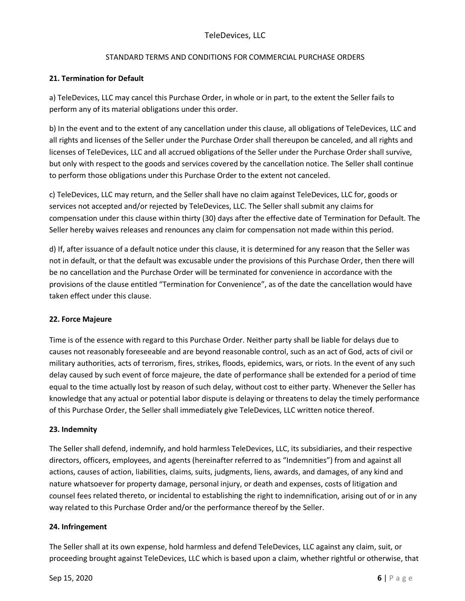## **21. Termination for Default**

a) TeleDevices, LLC may cancel this Purchase Order, in whole or in part, to the extent the Seller fails to perform any of its material obligations under this order.

b) In the event and to the extent of any cancellation under this clause, all obligations of TeleDevices, LLC and all rights and licenses of the Seller under the Purchase Order shall thereupon be canceled, and all rights and licenses of TeleDevices, LLC and all accrued obligations of the Seller under the Purchase Order shall survive, but only with respect to the goods and services covered by the cancellation notice. The Seller shall continue to perform those obligations under this Purchase Order to the extent not canceled.

c) TeleDevices, LLC may return, and the Seller shall have no claim against TeleDevices, LLC for, goods or services not accepted and/or rejected by TeleDevices, LLC. The Seller shall submit any claims for compensation under this clause within thirty (30) days after the effective date of Termination for Default. The Seller hereby waives releases and renounces any claim for compensation not made within this period.

d) If, after issuance of a default notice under this clause, it is determined for any reason that the Seller was not in default, or that the default was excusable under the provisions of this Purchase Order, then there will be no cancellation and the Purchase Order will be terminated for convenience in accordance with the provisions of the clause entitled "Termination for Convenience", as of the date the cancellation would have taken effect under this clause.

# **22. Force Majeure**

Time is of the essence with regard to this Purchase Order. Neither party shall be liable for delays due to causes not reasonably foreseeable and are beyond reasonable control, such as an act of God, acts of civil or military authorities, acts of terrorism, fires, strikes, floods, epidemics, wars, or riots. In the event of any such delay caused by such event of force majeure, the date of performance shall be extended for a period of time equal to the time actually lost by reason of such delay, without cost to either party. Whenever the Seller has knowledge that any actual or potential labor dispute is delaying or threatens to delay the timely performance of this Purchase Order, the Seller shall immediately give TeleDevices, LLC written notice thereof.

# **23. Indemnity**

The Seller shall defend, indemnify, and hold harmless TeleDevices, LLC, its subsidiaries, and their respective directors, officers, employees, and agents (hereinafter referred to as "Indemnities") from and against all actions, causes of action, liabilities, claims, suits, judgments, liens, awards, and damages, of any kind and nature whatsoever for property damage, personal injury, or death and expenses, costs of litigation and counsel fees related thereto, or incidental to establishing the right to indemnification, arising out of or in any way related to this Purchase Order and/or the performance thereof by the Seller.

#### **24. Infringement**

The Seller shall at its own expense, hold harmless and defend TeleDevices, LLC against any claim, suit, or proceeding brought against TeleDevices, LLC which is based upon a claim, whether rightful or otherwise, that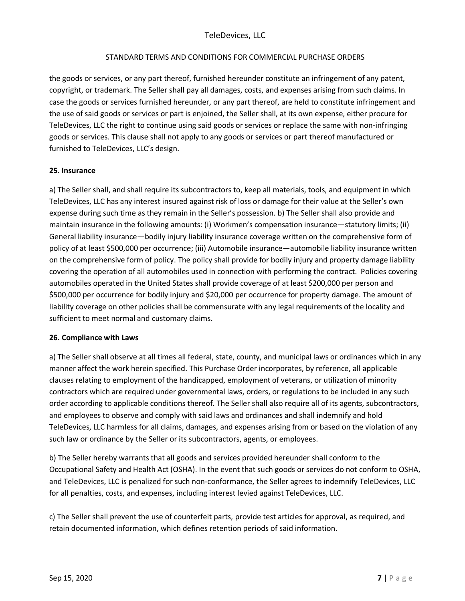# TeleDevices, LLC

### STANDARD TERMS AND CONDITIONS FOR COMMERCIAL PURCHASE ORDERS

the goods or services, or any part thereof, furnished hereunder constitute an infringement of any patent, copyright, or trademark. The Seller shall pay all damages, costs, and expenses arising from such claims. In case the goods or services furnished hereunder, or any part thereof, are held to constitute infringement and the use of said goods or services or part is enjoined, the Seller shall, at its own expense, either procure for TeleDevices, LLC the right to continue using said goods or services or replace the same with non-infringing goods or services. This clause shall not apply to any goods or services or part thereof manufactured or furnished to TeleDevices, LLC's design.

### **25. Insurance**

a) The Seller shall, and shall require its subcontractors to, keep all materials, tools, and equipment in which TeleDevices, LLC has any interest insured against risk of loss or damage for their value at the Seller's own expense during such time as they remain in the Seller's possession. b) The Seller shall also provide and maintain insurance in the following amounts: (i) Workmen's compensation insurance—statutory limits; (ii) General liability insurance—bodily injury liability insurance coverage written on the comprehensive form of policy of at least \$500,000 per occurrence; (iii) Automobile insurance—automobile liability insurance written on the comprehensive form of policy. The policy shall provide for bodily injury and property damage liability covering the operation of all automobiles used in connection with performing the contract. Policies covering automobiles operated in the United States shall provide coverage of at least \$200,000 per person and \$500,000 per occurrence for bodily injury and \$20,000 per occurrence for property damage. The amount of liability coverage on other policies shall be commensurate with any legal requirements of the locality and sufficient to meet normal and customary claims.

#### **26. Compliance with Laws**

a) The Seller shall observe at all times all federal, state, county, and municipal laws or ordinances which in any manner affect the work herein specified. This Purchase Order incorporates, by reference, all applicable clauses relating to employment of the handicapped, employment of veterans, or utilization of minority contractors which are required under governmental laws, orders, or regulations to be included in any such order according to applicable conditions thereof. The Seller shall also require all of its agents, subcontractors, and employees to observe and comply with said laws and ordinances and shall indemnify and hold TeleDevices, LLC harmless for all claims, damages, and expenses arising from or based on the violation of any such law or ordinance by the Seller or its subcontractors, agents, or employees.

b) The Seller hereby warrants that all goods and services provided hereunder shall conform to the Occupational Safety and Health Act (OSHA). In the event that such goods or services do not conform to OSHA, and TeleDevices, LLC is penalized for such non-conformance, the Seller agrees to indemnify TeleDevices, LLC for all penalties, costs, and expenses, including interest levied against TeleDevices, LLC.

c) The Seller shall prevent the use of counterfeit parts, provide test articles for approval, as required, and retain documented information, which defines retention periods of said information.